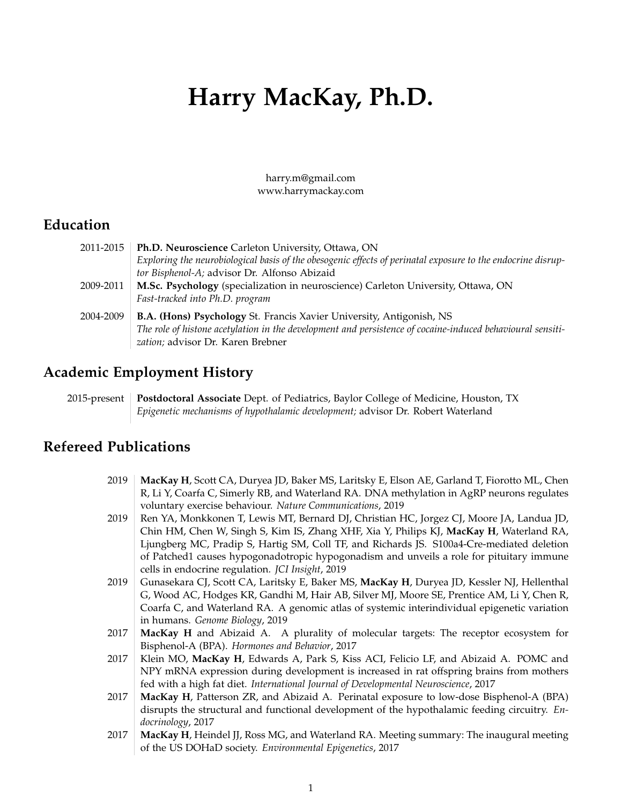# **Harry MacKay, Ph.D.**

harry.m@gmail.com www.harrymackay.com

## **Education**

| 2011-2015 | Ph.D. Neuroscience Carleton University, Ottawa, ON                                                           |
|-----------|--------------------------------------------------------------------------------------------------------------|
|           | Exploring the neurobiological basis of the obesogenic effects of perinatal exposure to the endocrine disrup- |
|           | tor Bisphenol-A; advisor Dr. Alfonso Abizaid                                                                 |
| 2009-2011 | M.Sc. Psychology (specialization in neuroscience) Carleton University, Ottawa, ON                            |
|           | Fast-tracked into Ph.D. program                                                                              |
| 2004-2009 | <b>B.A. (Hons) Psychology St. Francis Xavier University, Antigonish, NS</b>                                  |
|           | The role of histone acetylation in the development and persistence of cocaine-induced behavioural sensiti-   |
|           | zation; advisor Dr. Karen Brebner                                                                            |

### **Academic Employment History**

2015-present **Postdoctoral Associate** Dept. of Pediatrics, Baylor College of Medicine, Houston, TX *Epigenetic mechanisms of hypothalamic development;* advisor Dr. Robert Waterland

## **Refereed Publications**

| 2019 | MacKay H, Scott CA, Duryea JD, Baker MS, Laritsky E, Elson AE, Garland T, Fiorotto ML, Chen   |
|------|-----------------------------------------------------------------------------------------------|
|      | R, Li Y, Coarfa C, Simerly RB, and Waterland RA. DNA methylation in AgRP neurons regulates    |
|      | voluntary exercise behaviour. Nature Communications, 2019                                     |
| 2019 | Ren YA, Monkkonen T, Lewis MT, Bernard DJ, Christian HC, Jorgez CJ, Moore JA, Landua JD,      |
|      | Chin HM, Chen W, Singh S, Kim IS, Zhang XHF, Xia Y, Philips KJ, MacKay H, Waterland RA,       |
|      | Ljungberg MC, Pradip S, Hartig SM, Coll TF, and Richards JS. S100a4-Cre-mediated deletion     |
|      | of Patched1 causes hypogonadotropic hypogonadism and unveils a role for pituitary immune      |
|      | cells in endocrine regulation. JCI Insight, 2019                                              |
| 2019 | Gunasekara CJ, Scott CA, Laritsky E, Baker MS, MacKay H, Duryea JD, Kessler NJ, Hellenthal    |
|      | G, Wood AC, Hodges KR, Gandhi M, Hair AB, Silver MJ, Moore SE, Prentice AM, Li Y, Chen R,     |
|      | Coarfa C, and Waterland RA. A genomic atlas of systemic interindividual epigenetic variation  |
|      | in humans. Genome Biology, 2019                                                               |
| 2017 | MacKay H and Abizaid A. A plurality of molecular targets: The receptor ecosystem for          |
|      | Bisphenol-A (BPA). Hormones and Behavior, 2017                                                |
| 2017 | Klein MO, MacKay H, Edwards A, Park S, Kiss ACI, Felicio LF, and Abizaid A. POMC and          |
|      | NPY mRNA expression during development is increased in rat offspring brains from mothers      |
|      | fed with a high fat diet. International Journal of Developmental Neuroscience, 2017           |
| 2017 | MacKay H, Patterson ZR, and Abizaid A. Perinatal exposure to low-dose Bisphenol-A (BPA)       |
|      | disrupts the structural and functional development of the hypothalamic feeding circuitry. En- |
|      | docrinology, 2017                                                                             |
| 2017 | MacKay H, Heindel JJ, Ross MG, and Waterland RA. Meeting summary: The inaugural meeting       |
|      | of the US DOHaD society. Environmental Epigenetics, 2017                                      |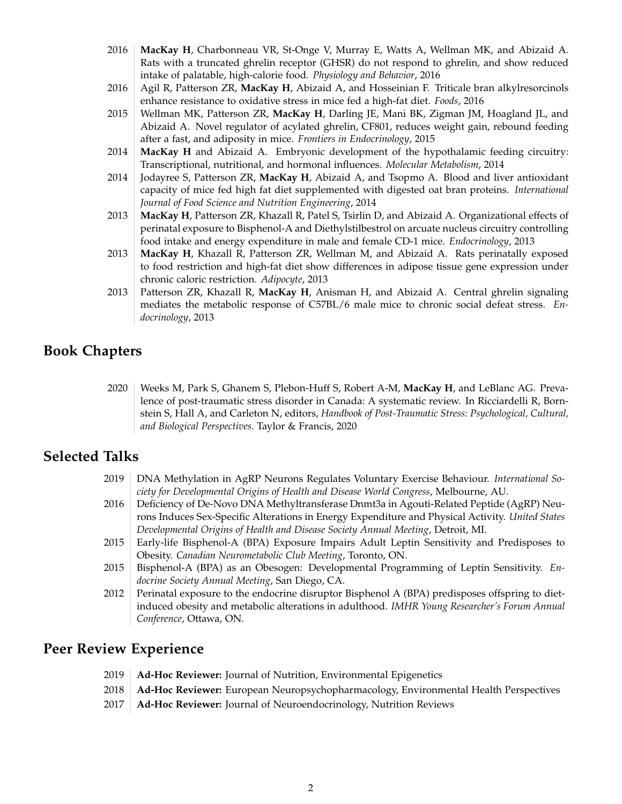- 2016 **MacKay H**, Charbonneau VR, St-Onge V, Murray E, Watts A, Wellman MK, and Abizaid A. Rats with a truncated ghrelin receptor (GHSR) do not respond to ghrelin, and show reduced intake of palatable, high-calorie food. *Physiology and Behavior*, 2016
- 2016 Agil R, Patterson ZR, **MacKay H**, Abizaid A, and Hosseinian F. Triticale bran alkylresorcinols enhance resistance to oxidative stress in mice fed a high-fat diet. *Foods*, 2016
- 2015 | Wellman MK, Patterson ZR, **MacKay H**, Darling JE, Mani BK, Zigman JM, Hoagland JL, and Abizaid A. Novel regulator of acylated ghrelin, CF801, reduces weight gain, rebound feeding after a fast, and adiposity in mice. *Frontiers in Endocrinology*, 2015
- 2014 **MacKay H** and Abizaid A. Embryonic development of the hypothalamic feeding circuitry: Transcriptional, nutritional, and hormonal influences. *Molecular Metabolism*, 2014
- 2014 Jodayree S, Patterson ZR, **MacKay H**, Abizaid A, and Tsopmo A. Blood and liver antioxidant capacity of mice fed high fat diet supplemented with digested oat bran proteins. *International Journal of Food Science and Nutrition Engineering*, 2014
- 2013 **MacKay H**, Patterson ZR, Khazall R, Patel S, Tsirlin D, and Abizaid A. Organizational effects of perinatal exposure to Bisphenol-A and Diethylstilbestrol on arcuate nucleus circuitry controlling food intake and energy expenditure in male and female CD-1 mice. *Endocrinology*, 2013
- 2013 **MacKay H**, Khazall R, Patterson ZR, Wellman M, and Abizaid A. Rats perinatally exposed to food restriction and high-fat diet show differences in adipose tissue gene expression under chronic caloric restriction. *Adipocyte*, 2013
- 2013 Patterson ZR, Khazall R, **MacKay H**, Anisman H, and Abizaid A. Central ghrelin signaling mediates the metabolic response of C57BL/6 male mice to chronic social defeat stress. *Endocrinology*, 2013

## **Book Chapters**

2020 Weeks M, Park S, Ghanem S, Plebon-Huff S, Robert A-M, **MacKay H**, and LeBlanc AG. Prevalence of post-traumatic stress disorder in Canada: A systematic review. In Ricciardelli R, Bornstein S, Hall A, and Carleton N, editors, *Handbook of Post-Traumatic Stress: Psychological, Cultural, and Biological Perspectives*. Taylor & Francis, 2020

## **Selected Talks**

- 2019 DNA Methylation in AgRP Neurons Regulates Voluntary Exercise Behaviour. *International Society for Developmental Origins of Health and Disease World Congress*, Melbourne, AU.
- 2016 Deficiency of De-Novo DNA Methyltransferase Dnmt3a in Agouti-Related Peptide (AgRP) Neurons Induces Sex-Specific Alterations in Energy Expenditure and Physical Activity. *United States Developmental Origins of Health and Disease Society Annual Meeting*, Detroit, MI.
- 2015 Early-life Bisphenol-A (BPA) Exposure Impairs Adult Leptin Sensitivity and Predisposes to Obesity. *Canadian Neurometabolic Club Meeting*, Toronto, ON.
- 2015 Bisphenol-A (BPA) as an Obesogen: Developmental Programming of Leptin Sensitivity. *Endocrine Society Annual Meeting*, San Diego, CA.
- 2012 Perinatal exposure to the endocrine disruptor Bisphenol A (BPA) predisposes offspring to dietinduced obesity and metabolic alterations in adulthood. *IMHR Young Researcher's Forum Annual Conference*, Ottawa, ON.

## **Peer Review Experience**

- 2019 **Ad-Hoc Reviewer:** Journal of Nutrition, Environmental Epigenetics
- 2018 **Ad-Hoc Reviewer:** European Neuropsychopharmacology, Environmental Health Perspectives
- 2017 **Ad-Hoc Reviewer:** Journal of Neuroendocrinology, Nutrition Reviews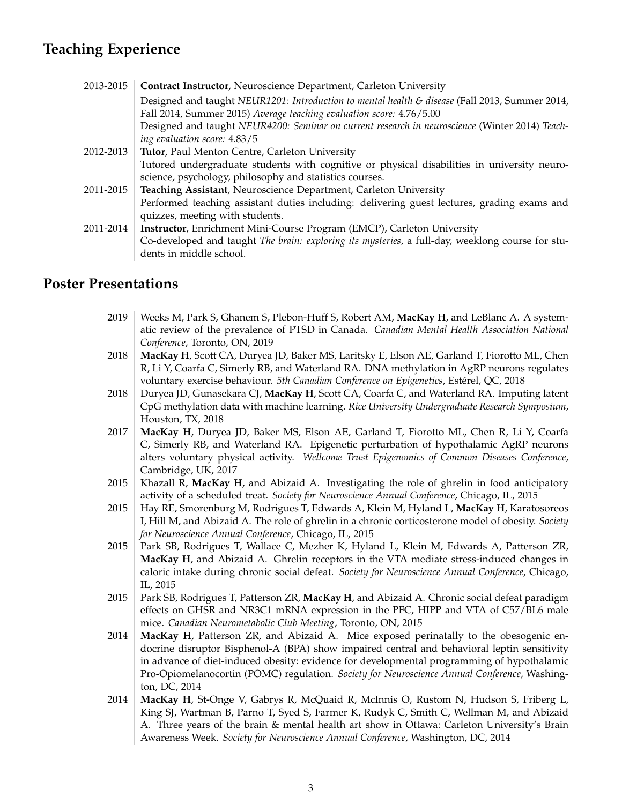## **Teaching Experience**

| 2013-2015 | Contract Instructor, Neuroscience Department, Carleton University                                |
|-----------|--------------------------------------------------------------------------------------------------|
|           | Designed and taught NEUR1201: Introduction to mental health & disease (Fall 2013, Summer 2014,   |
|           | Fall 2014, Summer 2015) Average teaching evaluation score: 4.76/5.00                             |
|           | Designed and taught NEUR4200: Seminar on current research in neuroscience (Winter 2014) Teach-   |
|           | ing evaluation score: 4.83/5                                                                     |
| 2012-2013 | Tutor, Paul Menton Centre, Carleton University                                                   |
|           | Tutored undergraduate students with cognitive or physical disabilities in university neuro-      |
|           | science, psychology, philosophy and statistics courses.                                          |
| 2011-2015 | Teaching Assistant, Neuroscience Department, Carleton University                                 |
|           | Performed teaching assistant duties including: delivering guest lectures, grading exams and      |
|           | quizzes, meeting with students.                                                                  |
| 2011-2014 | Instructor, Enrichment Mini-Course Program (EMCP), Carleton University                           |
|           | Co-developed and taught The brain: exploring its mysteries, a full-day, weeklong course for stu- |
|           | dents in middle school.                                                                          |

#### **Poster Presentations**

- 2019 Weeks M, Park S, Ghanem S, Plebon-Huff S, Robert AM, MacKay H, and LeBlanc A. A systematic review of the prevalence of PTSD in Canada. *Canadian Mental Health Association National Conference*, Toronto, ON, 2019
- 2018 **MacKay H**, Scott CA, Duryea JD, Baker MS, Laritsky E, Elson AE, Garland T, Fiorotto ML, Chen R, Li Y, Coarfa C, Simerly RB, and Waterland RA. DNA methylation in AgRP neurons regulates voluntary exercise behaviour. *5th Canadian Conference on Epigenetics*, Estérel, QC, 2018
- 2018 Duryea JD, Gunasekara CJ, **MacKay H**, Scott CA, Coarfa C, and Waterland RA. Imputing latent CpG methylation data with machine learning. *Rice University Undergraduate Research Symposium*, Houston, TX, 2018
- 2017 **MacKay H**, Duryea JD, Baker MS, Elson AE, Garland T, Fiorotto ML, Chen R, Li Y, Coarfa C, Simerly RB, and Waterland RA. Epigenetic perturbation of hypothalamic AgRP neurons alters voluntary physical activity. *Wellcome Trust Epigenomics of Common Diseases Conference*, Cambridge, UK, 2017
- 2015 Khazall R, **MacKay H**, and Abizaid A. Investigating the role of ghrelin in food anticipatory activity of a scheduled treat. *Society for Neuroscience Annual Conference*, Chicago, IL, 2015
- 2015 Hay RE, Smorenburg M, Rodrigues T, Edwards A, Klein M, Hyland L, **MacKay H**, Karatosoreos I, Hill M, and Abizaid A. The role of ghrelin in a chronic corticosterone model of obesity. *Society for Neuroscience Annual Conference*, Chicago, IL, 2015
- 2015 | Park SB, Rodrigues T, Wallace C, Mezher K, Hyland L, Klein M, Edwards A, Patterson ZR, **MacKay H**, and Abizaid A. Ghrelin receptors in the VTA mediate stress-induced changes in caloric intake during chronic social defeat. *Society for Neuroscience Annual Conference*, Chicago, IL, 2015
- 2015 Park SB, Rodrigues T, Patterson ZR, **MacKay H**, and Abizaid A. Chronic social defeat paradigm effects on GHSR and NR3C1 mRNA expression in the PFC, HIPP and VTA of C57/BL6 male mice. *Canadian Neurometabolic Club Meeting*, Toronto, ON, 2015
- 2014 **MacKay H**, Patterson ZR, and Abizaid A. Mice exposed perinatally to the obesogenic endocrine disruptor Bisphenol-A (BPA) show impaired central and behavioral leptin sensitivity in advance of diet-induced obesity: evidence for developmental programming of hypothalamic Pro-Opiomelanocortin (POMC) regulation. *Society for Neuroscience Annual Conference*, Washington, DC, 2014
- 2014 **MacKay H**, St-Onge V, Gabrys R, McQuaid R, McInnis O, Rustom N, Hudson S, Friberg L, King SJ, Wartman B, Parno T, Syed S, Farmer K, Rudyk C, Smith C, Wellman M, and Abizaid A. Three years of the brain & mental health art show in Ottawa: Carleton University's Brain Awareness Week. *Society for Neuroscience Annual Conference*, Washington, DC, 2014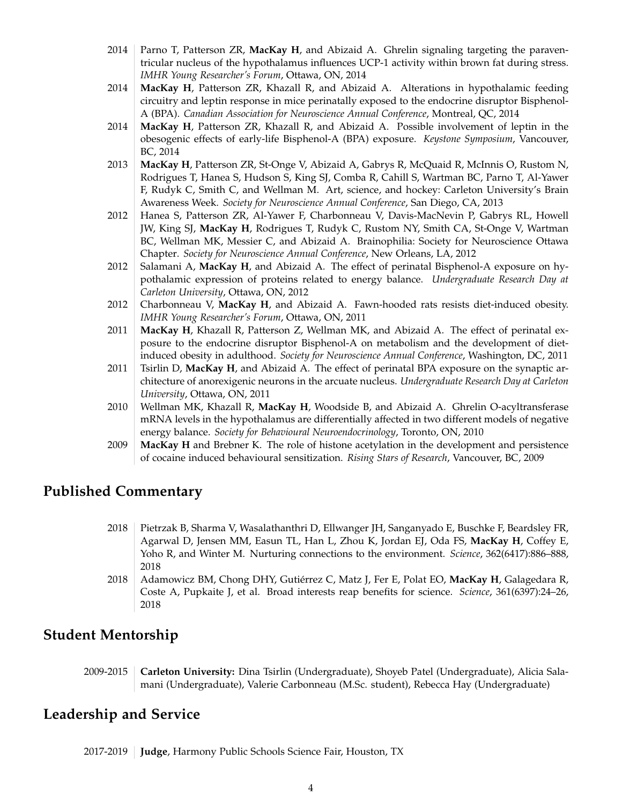- 2014 Parno T, Patterson ZR, **MacKay H**, and Abizaid A. Ghrelin signaling targeting the paraventricular nucleus of the hypothalamus influences UCP-1 activity within brown fat during stress. *IMHR Young Researcher's Forum*, Ottawa, ON, 2014
- 2014 **MacKay H**, Patterson ZR, Khazall R, and Abizaid A. Alterations in hypothalamic feeding circuitry and leptin response in mice perinatally exposed to the endocrine disruptor Bisphenol-A (BPA). *Canadian Association for Neuroscience Annual Conference*, Montreal, QC, 2014
- 2014 **MacKay H**, Patterson ZR, Khazall R, and Abizaid A. Possible involvement of leptin in the obesogenic effects of early-life Bisphenol-A (BPA) exposure. *Keystone Symposium*, Vancouver, BC, 2014
- 2013 **MacKay H**, Patterson ZR, St-Onge V, Abizaid A, Gabrys R, McQuaid R, McInnis O, Rustom N, Rodrigues T, Hanea S, Hudson S, King SJ, Comba R, Cahill S, Wartman BC, Parno T, Al-Yawer F, Rudyk C, Smith C, and Wellman M. Art, science, and hockey: Carleton University's Brain Awareness Week. *Society for Neuroscience Annual Conference*, San Diego, CA, 2013
- 2012 Hanea S, Patterson ZR, Al-Yawer F, Charbonneau V, Davis-MacNevin P, Gabrys RL, Howell JW, King SJ, **MacKay H**, Rodrigues T, Rudyk C, Rustom NY, Smith CA, St-Onge V, Wartman BC, Wellman MK, Messier C, and Abizaid A. Brainophilia: Society for Neuroscience Ottawa Chapter. *Society for Neuroscience Annual Conference*, New Orleans, LA, 2012
- 2012 Salamani A, MacKay H, and Abizaid A. The effect of perinatal Bisphenol-A exposure on hypothalamic expression of proteins related to energy balance. *Undergraduate Research Day at Carleton University*, Ottawa, ON, 2012
- 2012 Charbonneau V, **MacKay H**, and Abizaid A. Fawn-hooded rats resists diet-induced obesity. *IMHR Young Researcher's Forum*, Ottawa, ON, 2011
- 2011 **MacKay H**, Khazall R, Patterson Z, Wellman MK, and Abizaid A. The effect of perinatal exposure to the endocrine disruptor Bisphenol-A on metabolism and the development of dietinduced obesity in adulthood. *Society for Neuroscience Annual Conference*, Washington, DC, 2011
- 2011 Tsirlin D, **MacKay H**, and Abizaid A. The effect of perinatal BPA exposure on the synaptic architecture of anorexigenic neurons in the arcuate nucleus. *Undergraduate Research Day at Carleton University*, Ottawa, ON, 2011
- 2010 Wellman MK, Khazall R, MacKay H, Woodside B, and Abizaid A. Ghrelin O-acyltransferase mRNA levels in the hypothalamus are differentially affected in two different models of negative energy balance. *Society for Behavioural Neuroendocrinology*, Toronto, ON, 2010
- 2009 **MacKay H** and Brebner K. The role of histone acetylation in the development and persistence of cocaine induced behavioural sensitization. *Rising Stars of Research*, Vancouver, BC, 2009

#### **Published Commentary**

- 2018 Pietrzak B, Sharma V, Wasalathanthri D, Ellwanger JH, Sanganyado E, Buschke F, Beardsley FR, Agarwal D, Jensen MM, Easun TL, Han L, Zhou K, Jordan EJ, Oda FS, **MacKay H**, Coffey E, Yoho R, and Winter M. Nurturing connections to the environment. *Science*, 362(6417):886–888, 2018
- 2018 | Adamowicz BM, Chong DHY, Gutiérrez C, Matz J, Fer E, Polat EO, MacKay H, Galagedara R, Coste A, Pupkaite J, et al. Broad interests reap benefits for science. *Science*, 361(6397):24–26, 2018

#### **Student Mentorship**

2009-2015 **Carleton University:** Dina Tsirlin (Undergraduate), Shoyeb Patel (Undergraduate), Alicia Salamani (Undergraduate), Valerie Carbonneau (M.Sc. student), Rebecca Hay (Undergraduate)

#### **Leadership and Service**

2017-2019 **Judge**, Harmony Public Schools Science Fair, Houston, TX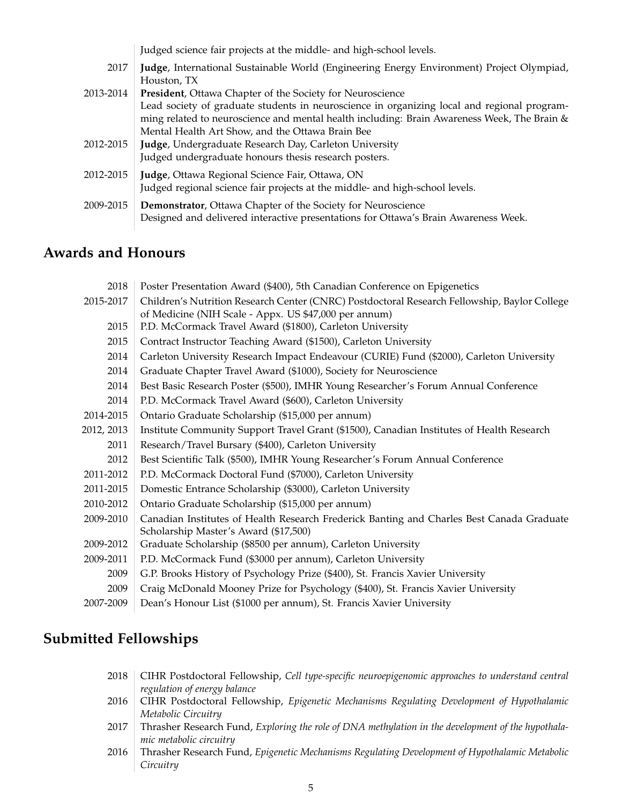|           | Judged science fair projects at the middle- and high-school levels.                                                                                                                        |
|-----------|--------------------------------------------------------------------------------------------------------------------------------------------------------------------------------------------|
| 2017      | Judge, International Sustainable World (Engineering Energy Environment) Project Olympiad,<br>Houston, TX                                                                                   |
| 2013-2014 | <b>President, Ottawa Chapter of the Society for Neuroscience</b>                                                                                                                           |
|           | Lead society of graduate students in neuroscience in organizing local and regional program-<br>ming related to neuroscience and mental health including: Brain Awareness Week, The Brain & |
| 2012-2015 | Mental Health Art Show, and the Ottawa Brain Bee<br>Judge, Undergraduate Research Day, Carleton University                                                                                 |
|           | Judged undergraduate honours thesis research posters.                                                                                                                                      |
| 2012-2015 | Judge, Ottawa Regional Science Fair, Ottawa, ON<br>Judged regional science fair projects at the middle- and high-school levels.                                                            |
| 2009-2015 | <b>Demonstrator, Ottawa Chapter of the Society for Neuroscience</b><br>Designed and delivered interactive presentations for Ottawa's Brain Awareness Week.                                 |

## **Awards and Honours**

| 2018       | Poster Presentation Award (\$400), 5th Canadian Conference on Epigenetics                    |
|------------|----------------------------------------------------------------------------------------------|
| 2015-2017  | Children's Nutrition Research Center (CNRC) Postdoctoral Research Fellowship, Baylor College |
|            | of Medicine (NIH Scale - Appx. US \$47,000 per annum)                                        |
| 2015       | P.D. McCormack Travel Award (\$1800), Carleton University                                    |
| 2015       | Contract Instructor Teaching Award (\$1500), Carleton University                             |
| 2014       | Carleton University Research Impact Endeavour (CURIE) Fund (\$2000), Carleton University     |
| 2014       | Graduate Chapter Travel Award (\$1000), Society for Neuroscience                             |
| 2014       | Best Basic Research Poster (\$500), IMHR Young Researcher's Forum Annual Conference          |
| 2014       | P.D. McCormack Travel Award (\$600), Carleton University                                     |
| 2014-2015  | Ontario Graduate Scholarship (\$15,000 per annum)                                            |
| 2012, 2013 | Institute Community Support Travel Grant (\$1500), Canadian Institutes of Health Research    |
| 2011       | Research/Travel Bursary (\$400), Carleton University                                         |
| 2012       | Best Scientific Talk (\$500), IMHR Young Researcher's Forum Annual Conference                |
| 2011-2012  | P.D. McCormack Doctoral Fund (\$7000), Carleton University                                   |
| 2011-2015  | Domestic Entrance Scholarship (\$3000), Carleton University                                  |
| 2010-2012  | Ontario Graduate Scholarship (\$15,000 per annum)                                            |
| 2009-2010  | Canadian Institutes of Health Research Frederick Banting and Charles Best Canada Graduate    |
|            | Scholarship Master's Award (\$17,500)                                                        |
| 2009-2012  | Graduate Scholarship (\$8500 per annum), Carleton University                                 |
| 2009-2011  | P.D. McCormack Fund (\$3000 per annum), Carleton University                                  |
| 2009       | G.P. Brooks History of Psychology Prize (\$400), St. Francis Xavier University               |
| 2009       | Craig McDonald Mooney Prize for Psychology (\$400), St. Francis Xavier University            |
| 2007-2009  | Dean's Honour List (\$1000 per annum), St. Francis Xavier University                         |
|            |                                                                                              |

## **Submitted Fellowships**

- 2018 CIHR Postdoctoral Fellowship, *Cell type-specific neuroepigenomic approaches to understand central regulation of energy balance*
- 2016 CIHR Postdoctoral Fellowship, *Epigenetic Mechanisms Regulating Development of Hypothalamic Metabolic Circuitry*
- 2017 Thrasher Research Fund, *Exploring the role of DNA methylation in the development of the hypothalamic metabolic circuitry*
- 2016 Thrasher Research Fund, *Epigenetic Mechanisms Regulating Development of Hypothalamic Metabolic Circuitry*